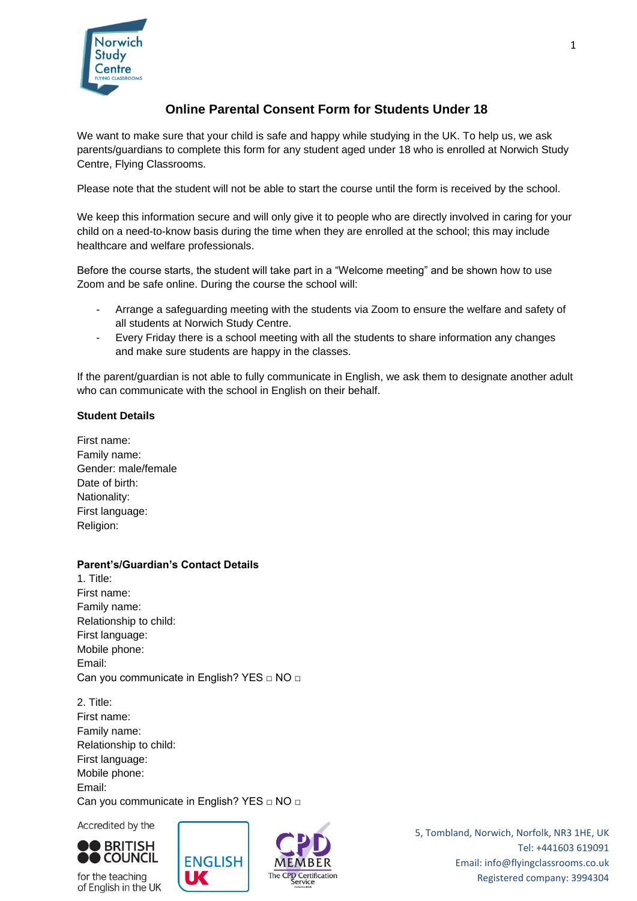

# **Online Parental Consent Form for Students Under 18**

We want to make sure that your child is safe and happy while studying in the UK. To help us, we ask parents/guardians to complete this form for any student aged under 18 who is enrolled at Norwich Study Centre, Flying Classrooms.

Please note that the student will not be able to start the course until the form is received by the school.

We keep this information secure and will only give it to people who are directly involved in caring for your child on a need-to-know basis during the time when they are enrolled at the school; this may include healthcare and welfare professionals.

Before the course starts, the student will take part in a "Welcome meeting" and be shown how to use Zoom and be safe online. During the course the school will:

- Arrange a safeguarding meeting with the students via Zoom to ensure the welfare and safety of all students at Norwich Study Centre.
- Every Friday there is a school meeting with all the students to share information any changes and make sure students are happy in the classes.

If the parent/guardian is not able to fully communicate in English, we ask them to designate another adult who can communicate with the school in English on their behalf.

#### **Student Details**

First name: Family name: Gender: male/female Date of birth: Nationality: First language: Religion:

## **Parent's/Guardian's Contact Details**

1. Title: First name: Family name: Relationship to child: First language: Mobile phone: Email: Can you communicate in English? YES □ NO □

2. Title: First name: Family name: Relationship to child: First language: Mobile phone: Email: Can you communicate in English? YES □ NO □

UK

Accredited by the



for the teaching of English in the UK



5, Tombland, Norwich, Norfolk, NR3 1HE, UK Tel: +441603 619091 Email: info@flyingclassrooms.co.uk Registered company: 3994304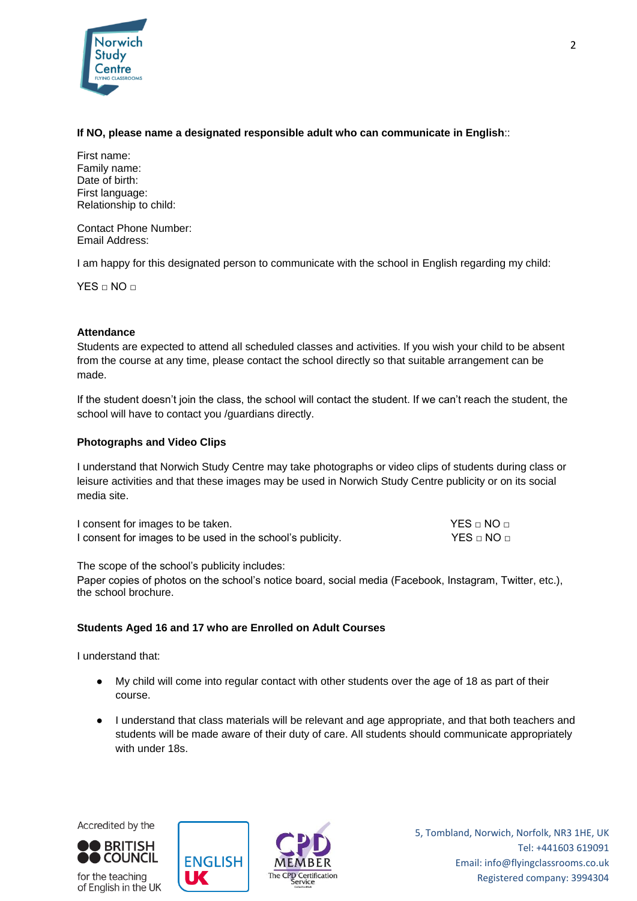

#### **If NO, please name a designated responsible adult who can communicate in English**::

First name: Family name: Date of birth: First language: Relationship to child:

Contact Phone Number: Email Address:

I am happy for this designated person to communicate with the school in English regarding my child:

 $YES \cap NO \cap$ 

#### **Attendance**

Students are expected to attend all scheduled classes and activities. If you wish your child to be absent from the course at any time, please contact the school directly so that suitable arrangement can be made.

If the student doesn't join the class, the school will contact the student. If we can't reach the student, the school will have to contact you /guardians directly.

## **Photographs and Video Clips**

I understand that Norwich Study Centre may take photographs or video clips of students during class or leisure activities and that these images may be used in Norwich Study Centre publicity or on its social media site.

| I consent for images to be taken.                          | $YES \sqcap NO \sqcap$ |
|------------------------------------------------------------|------------------------|
| I consent for images to be used in the school's publicity. | $YES \cap NO \cap$     |

The scope of the school's publicity includes:

Paper copies of photos on the school's notice board, social media (Facebook, Instagram, Twitter, etc.), the school brochure.

## **Students Aged 16 and 17 who are Enrolled on Adult Courses**

I understand that:

- My child will come into regular contact with other students over the age of 18 as part of their course.
- I understand that class materials will be relevant and age appropriate, and that both teachers and students will be made aware of their duty of care. All students should communicate appropriately with under 18s.



for the teaching of English in the UK



5, Tombland, Norwich, Norfolk, NR3 1HE, UK Tel: +441603 619091 Email: info@flyingclassrooms.co.uk Registered company: 3994304